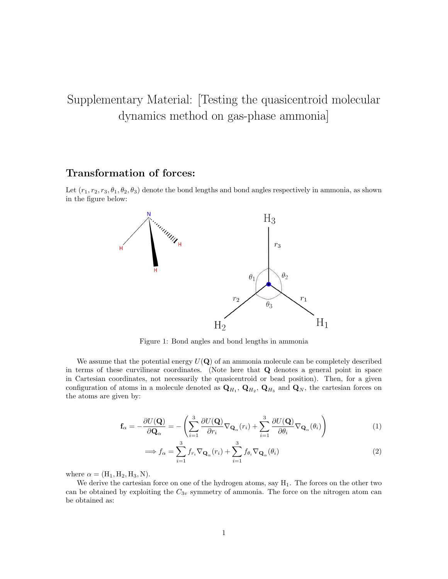## Supplementary Material: [Testing the quasicentroid molecular dynamics method on gas-phase ammonia]

## Transformation of forces:

Let  $(r_1, r_2, r_3, \theta_1, \theta_2, \theta_3)$  denote the bond lengths and bond angles respectively in ammonia, as shown in the figure below:



Figure 1: Bond angles and bond lengths in ammonia

We assume that the potential energy  $U(Q)$  of an ammonia molecule can be completely described in terms of these curvilinear coordinates. (Note here that Q denotes a general point in space in Cartesian coordinates, not necessarily the quasicentroid or bead position). Then, for a given configuration of atoms in a molecule denoted as  $Q_{H_1}$ ,  $Q_{H_2}$ ,  $Q_{H_3}$  and  $Q_N$ , the cartesian forces on the atoms are given by:

$$
\mathbf{f}_{\alpha} = -\frac{\partial U(\mathbf{Q})}{\partial \mathbf{Q}_{\alpha}} = -\left(\sum_{i=1}^{3} \frac{\partial U(\mathbf{Q})}{\partial r_{i}} \nabla_{\mathbf{Q}_{\alpha}}(r_{i}) + \sum_{i=1}^{3} \frac{\partial U(\mathbf{Q})}{\partial \theta_{i}} \nabla_{\mathbf{Q}_{\alpha}}(\theta_{i})\right)
$$
(1)

$$
\implies f_{\alpha} = \sum_{i=1}^{3} f_{r_i} \nabla_{\mathbf{Q}_{\alpha}}(r_i) + \sum_{i=1}^{3} f_{\theta_i} \nabla_{\mathbf{Q}_{\alpha}}(\theta_i)
$$
\n(2)

where  $\alpha = (H_1, H_2, H_3, N)$ .

We derive the cartesian force on one of the hydrogen atoms, say  $H_1$ . The forces on the other two can be obtained by exploiting the  $C_{3v}$  symmetry of ammonia. The force on the nitrogen atom can be obtained as: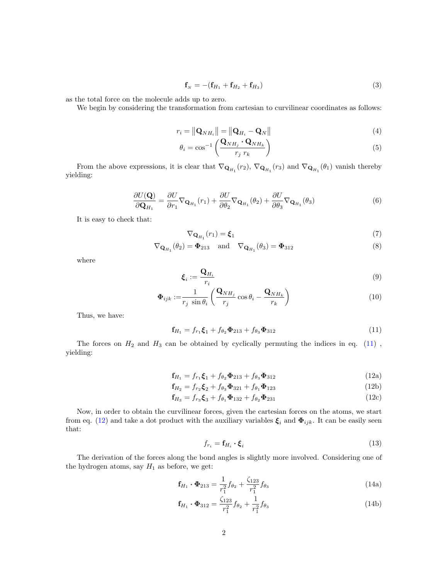<span id="page-1-4"></span>
$$
\mathbf{f}_N = -(\mathbf{f}_{H_1} + \mathbf{f}_{H_2} + \mathbf{f}_{H_3})
$$
\n(3)

as the total force on the molecule adds up to zero.

We begin by considering the transformation from cartesian to curvilinear coordinates as follows:

$$
r_i = \left\| \mathbf{Q}_{NH_i} \right\| = \left\| \mathbf{Q}_{H_i} - \mathbf{Q}_N \right\| \tag{4}
$$

$$
\theta_i = \cos^{-1}\left(\frac{\mathbf{Q}_{NH_j} \cdot \mathbf{Q}_{NH_k}}{r_j r_k}\right) \tag{5}
$$

From the above expressions, it is clear that  $\nabla_{\mathbf{Q}_{H_1}}(r_2)$ ,  $\nabla_{\mathbf{Q}_{H_1}}(r_3)$  and  $\nabla_{\mathbf{Q}_{H_1}}(\theta_1)$  vanish thereby yielding:

$$
\frac{\partial U(\mathbf{Q})}{\partial \mathbf{Q}_{H_1}} = \frac{\partial U}{\partial r_1} \nabla_{\mathbf{Q}_{H_1}}(r_1) + \frac{\partial U}{\partial \theta_2} \nabla_{\mathbf{Q}_{H_1}}(\theta_2) + \frac{\partial U}{\partial \theta_3} \nabla_{\mathbf{Q}_{H_1}}(\theta_3)
$$
(6)

It is easy to check that:

$$
\nabla_{\mathbf{Q}_{H_1}}(r_1) = \xi_1 \tag{7}
$$

$$
\nabla_{\mathbf{Q}_{H_1}}(\theta_2) = \mathbf{\Phi}_{213} \quad \text{and} \quad \nabla_{\mathbf{Q}_{H_1}}(\theta_3) = \mathbf{\Phi}_{312} \tag{8}
$$

where

<span id="page-1-0"></span>
$$
\boldsymbol{\xi}_i := \frac{\mathbf{Q}_{H_i}}{r_i} \tag{9}
$$

$$
\mathbf{\Phi}_{ijk} := \frac{1}{r_j \sin \theta_i} \left( \frac{\mathbf{Q}_{NH_j}}{r_j} \cos \theta_i - \frac{\mathbf{Q}_{NH_k}}{r_k} \right)
$$
(10)

Thus, we have:

$$
\mathbf{f}_{H_1} = f_{r_1} \mathbf{\xi}_1 + f_{\theta_2} \mathbf{\Phi}_{213} + f_{\theta_3} \mathbf{\Phi}_{312} \tag{11}
$$

<span id="page-1-1"></span>The forces on  $H_2$  and  $H_3$  can be obtained by cyclically permuting the indices in eq. [\(11\)](#page-1-0), yielding:

$$
\mathbf{f}_{H_1} = f_{r_1} \mathbf{\xi}_1 + f_{\theta_2} \mathbf{\Phi}_{213} + f_{\theta_3} \mathbf{\Phi}_{312} \tag{12a}
$$

$$
\mathbf{f}_{H_2} = f_{r_2} \mathbf{\xi}_2 + f_{\theta_3} \mathbf{\Phi}_{321} + f_{\theta_1} \mathbf{\Phi}_{123} \tag{12b}
$$

$$
\mathbf{f}_{H_3} = f_{r_3} \mathbf{\xi}_3 + f_{\theta_1} \mathbf{\Phi}_{132} + f_{\theta_2} \mathbf{\Phi}_{231} \tag{12c}
$$

Now, in order to obtain the curvilinear forces, given the cartesian forces on the atoms, we start from eq. [\(12\)](#page-1-1) and take a dot product with the auxiliary variables  $\xi_i$  and  $\Phi_{ijk}$ . It can be easily seen that:

<span id="page-1-3"></span><span id="page-1-2"></span>
$$
f_{r_i} = \mathbf{f}_{H_i} \cdot \boldsymbol{\xi}_i \tag{13}
$$

The derivation of the forces along the bond angles is slightly more involved. Considering one of the hydrogen atoms, say  ${\cal H}_1$  as before, we get:

$$
\mathbf{f}_{H_1} \cdot \mathbf{\Phi}_{213} = \frac{1}{r_1^2} f_{\theta_2} + \frac{\zeta_{123}}{r_1^2} f_{\theta_3} \tag{14a}
$$

$$
\mathbf{f}_{H_1} \cdot \mathbf{\Phi}_{312} = \frac{\zeta_{123}}{r_1^2} f_{\theta_2} + \frac{1}{r_1^2} f_{\theta_3} \tag{14b}
$$